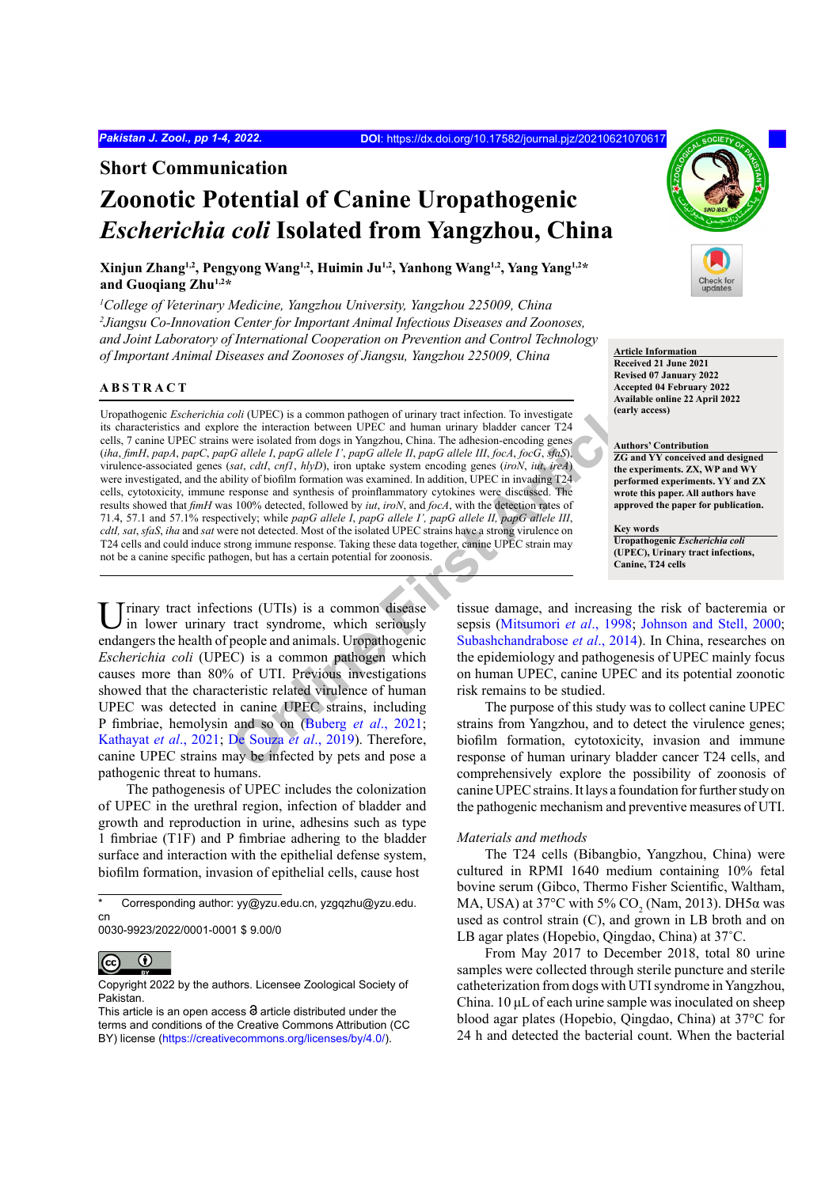## **Short Communication**

## **Zoonotic Potential of Canine Uropathogenic**  *Escherichia coli* **Isolated from Yangzhou, China**

**Xinjun Zhang1,2, Pengyong Wang1,2, Huimin Ju1,2, Yanhong Wang1,2, Yang Yang1,2\* and Guoqiang Zhu1,2\***

<sup>1</sup>College of Veterinary Medicine, Yangzhou University, Yangzhou 225009, China *2 Jiangsu Co-Innovation Center for Important Animal Infectious Diseases and Zoonoses, and Joint Laboratory of International Cooperation on Prevention and Control Technology of Important Animal Diseases and Zoonoses of Jiangsu, Yangzhou 225009, China* **Article Information** 

## **ABSTRACT**

coli (UPEC) is a common pathogen of urinary tract infection. To investigate<br>
were the interaction between UPEC and human urinary bladder cancer T24<br>
were isolated from dogs in Yangzhou, China. The adhesion-enocding genes<br> Uropathogenic *Escherichia coli* (UPEC) is a common pathogen of urinary tract infection. To investigate its characteristics and explore the interaction between UPEC and human urinary bladder cancer T24 cells, 7 canine UPEC strains were isolated from dogs in Yangzhou, China. The adhesion-encoding genes (*iha*, *fimH*, *papA*, *papC*, *papG allele I*, *papG allele I'*, *papG allele II*, *papG allele III*, *focA*, *focG*, *sfaS*), virulence-associated genes (*sat*, *cdtI*, *cnf1*, *hlyD*), iron uptake system encoding genes (*iroN*, *iut*, *ireA*) were investigated, and the ability of biofilm formation was examined. In addition, UPEC in invading T24 cells, cytotoxicity, immune response and synthesis of proinflammatory cytokines were discussed. The results showed that *fimH* was 100% detected, followed by *iut*, *iroN*, and *focA*, with the detection rates of 71.4, 57.1 and 57.1% respectively; while *papG allele I*, *papG allele I', papG allele II, papG allele III*, *cdtI, sat*, *sfaS*, *iha* and *sat* were not detected. Most of the isolated UPEC strains have a strong virulence on T24 cells and could induce strong immune response. Taking these data together, canine UPEC strain may not be a canine specific pathogen, but has a certain potential for zoonosis.

Urinary tract infections (UTIs) is a common disease in lower urinary tract syndrome, which seriously endangers the health of people and animals. Uropathogenic *Escherichia coli* (UPEC) is a common pathogen which causes more than 80% of UTI. Previous investigations showed that the characteristic related virulence of human UPEC was detected in canine UPEC strains, including P fimbriae, hemolysin and so on (Buberg *et al*., 2021; Kathayat *et al*., 2021; De Souza *et al*., 2019). Therefore, canine UPEC strains may be infected by pets and pose a pathogenic threat to humans.

The pathogenesis of UPEC includes the colonization of UPEC in the urethral region, infection of bladder and growth and reproduction in urine, adhesins such as type 1 fimbriae (T1F) and P fimbriae adhering to the bladder surface and interaction with the epithelial defense system, biofilm formation, invasion of epithelial cells, cause host

<sup>0030-9923/2022/0001-0001 \$ 9.00/0</sup>



Copyright 2022 by the authors. Licensee Zoological Society of Pakistan.



**Received 21 June 2021 Revised 07 January 2022 Accepted 04 February 2022 Available online 22 April 2022 (early access)**

#### **Authors' Contribution**

**ZG and YY conceived and designed the experiments. ZX, WP and WY performed experiments. YY and ZX wrote this paper. All authors have approved the paper for publication.**

**Key words Uropathogenic** *Escherichia coli* **(UPEC), Urinary tract infections, Canine, T24 cells**

tissue damage, and increasing the risk of bacteremia or sepsis (Mitsumori *et al*., 1998; Johnson and Stell, 2000; Subashchandrabose *et al*., 2014). In China, researches on the epidemiology and pathogenesis of UPEC mainly focus on human UPEC, canine UPEC and its potential zoonotic risk remains to be studied.

The purpose of this study was to collect canine UPEC strains from Yangzhou, and to detect the virulence genes; biofilm formation, cytotoxicity, invasion and immune response of human urinary bladder cancer T24 cells, and comprehensively explore the possibility of zoonosis of canine UPEC strains. It lays a foundation for further study on the pathogenic mechanism and preventive measures of UTI.

### *Materials and methods*

The T24 cells (Bibangbio, Yangzhou, China) were cultured in RPMI 1640 medium containing 10% fetal bovine serum (Gibco, Thermo Fisher Scientific, Waltham, MA, USA) at 37°C with 5%  $CO_2$  (Nam, 2013). DH5 $\alpha$  was used as control strain (C), and grown in LB broth and on LB agar plates (Hopebio, Qingdao, China) at 37˚C.

From May 2017 to December 2018, total 80 urine samples were collected through sterile puncture and sterile catheterization from dogs with UTI syndrome in Yangzhou, China. 10 μL of each urine sample was inoculated on sheep blood agar plates (Hopebio, Qingdao, China) at 37°C for 24 h and detected the bacterial count. When the bacterial

Corresponding author: yy@yzu.edu.cn, yzgqzhu@yzu.edu. cn

This article is an open access  $\Theta$  article distributed under the terms and conditions of the Creative Commons Attribution (CC BY) license (https://creativecommons.org/licenses/by/4.0/).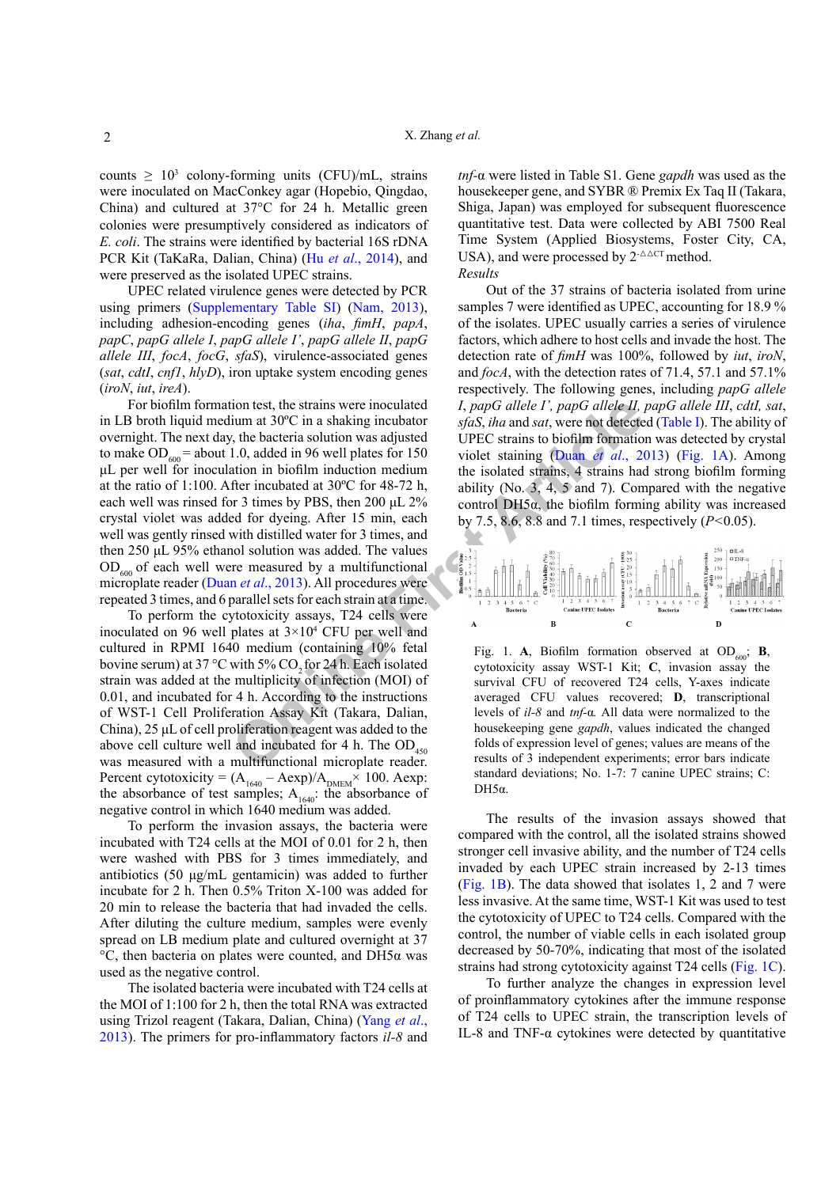counts  $\geq 10^3$  colony-forming units (CFU)/mL, strains were inoculated on MacConkey agar (Hopebio, Qingdao, China) and cultured at 37°C for 24 h. Metallic green colonies were presumptively considered as indicators of *E. coli*. The strains were identified by bacterial 16S rDNA PCR Kit (TaKaRa, Dalian, China) (Hu *et al*., 2014), and were preserved as the isolated UPEC strains.

UPEC related virulence genes were detected by PCR using primers (Supplementary Table SI) (Nam, 2013), including adhesion-encoding genes (*iha*, *fimH*, *papA*, *papC*, *papG allele I*, *papG allele I'*, *papG allele II*, *papG allele III*, *focA*, *focG*, *sfaS*), virulence-associated genes (*sat*, *cdtI*, *cnf1*, *hlyD*), iron uptake system encoding genes (*iroN*, *iut*, *ireA*).

ion test, the strains were inoculated<br>
i, the shaking inculated<br>
i, the backing inculated<br>
I. 0, added in 96 well plates for 150<br>
UPEC straining (Duan *et* differential<br>
1.0, added in 96 well plates for 150<br>
violet staini For biofilm formation test, the strains were inoculated in LB broth liquid medium at 30ºC in a shaking incubator overnight. The next day, the bacteria solution was adjusted to make  $OD<sub>600</sub> =$  about 1.0, added in 96 well plates for 150 μL per well for inoculation in biofilm induction medium at the ratio of 1:100. After incubated at 30ºC for 48-72 h, each well was rinsed for 3 times by PBS, then 200 μL 2% crystal violet was added for dyeing. After 15 min, each well was gently rinsed with distilled water for 3 times, and then 250 μL 95% ethanol solution was added. The values  $OD<sub>600</sub>$  of each well were measured by a multifunctional microplate reader (Duan *et al*., 2013). All procedures were repeated 3 times, and 6 parallel sets for each strain at a time.

To perform the cytotoxicity assays, T24 cells were inoculated on 96 well plates at  $3\times10^4$  CFU per well and cultured in RPMI 1640 medium (containing 10% fetal bovine serum) at 37 °C with 5% CO<sub>2</sub> for 24 h. Each isolated strain was added at the multiplicity of infection (MOI) of 0.01, and incubated for 4 h. According to the instructions of WST-1 Cell Proliferation Assay Kit (Takara, Dalian, China), 25 μL of cell proliferation reagent was added to the above cell culture well and incubated for 4 h. The  $OD_{450}$ was measured with a multifunctional microplate reader. Percent cytotoxicity =  $(A<sub>1640</sub> - Aexp)/A<sub>DMEM</sub> × 100$ . Aexp: the absorbance of test samples;  $A_{1640}$ : the absorbance of negative control in which 1640 medium was added.

To perform the invasion assays, the bacteria were incubated with T24 cells at the MOI of 0.01 for 2 h, then were washed with PBS for 3 times immediately, and antibiotics (50 μg/mL gentamicin) was added to further incubate for 2 h. Then 0.5% Triton X-100 was added for 20 min to release the bacteria that had invaded the cells. After diluting the culture medium, samples were evenly spread on LB medium plate and cultured overnight at 37 °C, then bacteria on plates were counted, and DH5α was used as the negative control.

The isolated bacteria were incubated with T24 cells at the MOI of 1:100 for 2 h, then the total RNA was extracted using Trizol reagent (Takara, Dalian, China) (Yang *et al*., 2013). The primers for pro-inflammatory factors *il-8* and

*tnf-*α were listed in Table S1. Gene *gapdh* was used as the housekeeper gene, and SYBR ® Premix Ex Taq II (Takara, Shiga, Japan) was employed for subsequent fluorescence quantitative test. Data were collected by ABI 7500 Real Time System (Applied Biosystems, Foster City, CA, USA), and were processed by  $2^{-\Delta\Delta CT}$  method. *Results*

Out of the 37 strains of bacteria isolated from urine samples 7 were identified as UPEC, accounting for 18.9 % of the isolates. UPEC usually carries a series of virulence factors, which adhere to host cells and invade the host. The detection rate of *fimH* was 100%, followed by *iut*, *iroN*, and *focA*, with the detection rates of 71.4, 57.1 and 57.1% respectively. The following genes, including *papG allele I*, *papG allele I', papG allele II, papG allele III*, *cdtI, sat*, *sfaS*, *iha* and *sat*, were not detected (Table I). The ability of UPEC strains to biofilm formation was detected by crystal violet staining (Duan *et al*., 2013) (Fig. 1A). Among the isolated strains, 4 strains had strong biofilm forming ability (No. 3, 4, 5 and 7). Compared with the negative control  $DH5\alpha$ , the biofilm forming ability was increased by 7.5, 8.6, 8.8 and 7.1 times, respectively (*P<*0.05).



Fig. 1. **A**, Biofilm formation observed at  $OD_{600}$ ; **B**, cytotoxicity assay WST-1 Kit; **C**, invasion assay the survival CFU of recovered T24 cells, Y-axes indicate averaged CFU values recovered; **D**, transcriptional levels of *il-8* and *tnf-*α*.* All data were normalized to the housekeeping gene *gapdh*, values indicated the changed folds of expression level of genes; values are means of the results of 3 independent experiments; error bars indicate standard deviations; No. 1-7: 7 canine UPEC strains; C:  $DH5\alpha$ 

The results of the invasion assays showed that compared with the control, all the isolated strains showed stronger cell invasive ability, and the number of T24 cells invaded by each UPEC strain increased by 2-13 times (Fig. 1B). The data showed that isolates 1, 2 and 7 were less invasive. At the same time, WST-1 Kit was used to test the cytotoxicity of UPEC to T24 cells. Compared with the control, the number of viable cells in each isolated group decreased by 50-70%, indicating that most of the isolated strains had strong cytotoxicity against T24 cells (Fig. 1C).

To further analyze the changes in expression level of proinflammatory cytokines after the immune response of T24 cells to UPEC strain, the transcription levels of IL-8 and TNF- $\alpha$  cytokines were detected by quantitative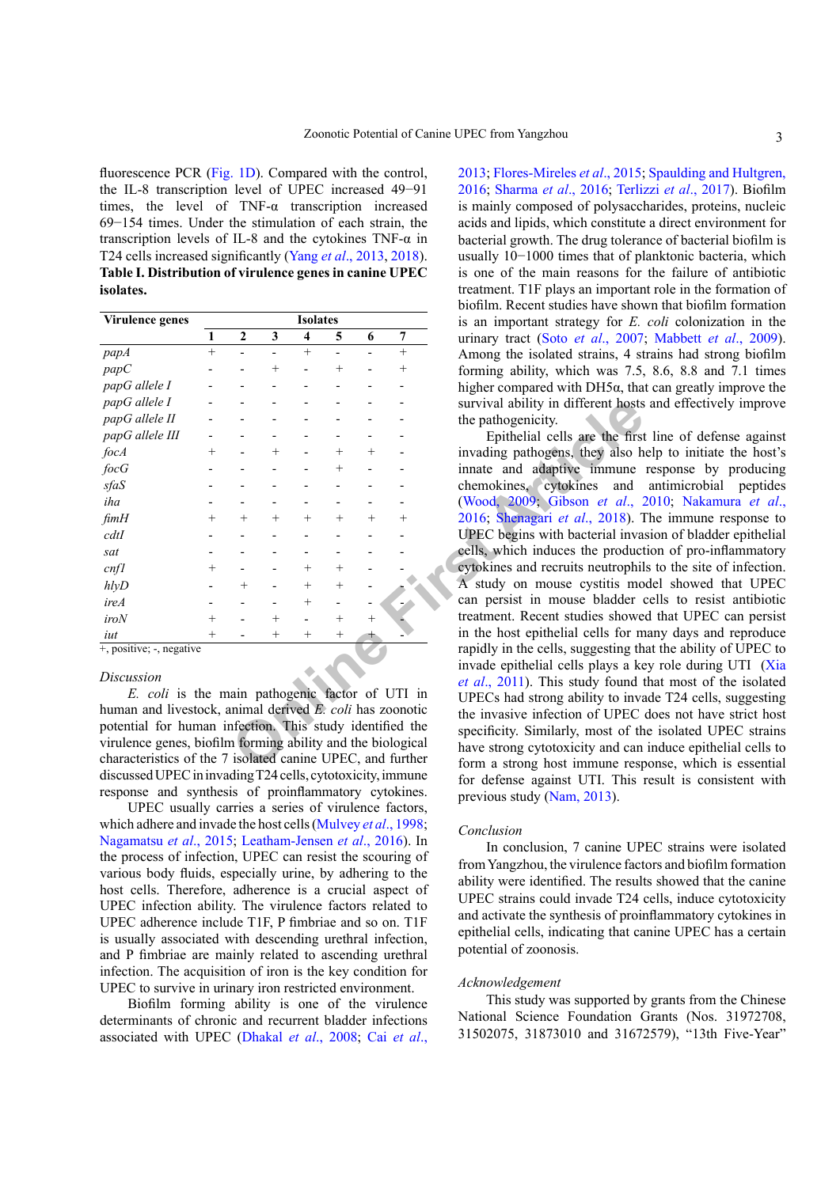fluorescence PCR (Fig. 1D). Compared with the control, the IL-8 transcription level of UPEC increased 49−91 times, the level of TNF-α transcription increased 69−154 times. Under the stimulation of each strain, the transcription levels of IL-8 and the cytokines TNF-α in T24 cells increased significantly (Yang *et al*., 2013, 2018). **Table I. Distribution of virulence genes in canine UPEC isolates.**

| Virulence genes            | <b>Isolates</b> |                  |        |         |        |        |        |
|----------------------------|-----------------|------------------|--------|---------|--------|--------|--------|
|                            | 1               | $\boldsymbol{2}$ | 3      | 4       | 5      | 6      | 7      |
| papA                       | $^{+}$          |                  |        | $+$     |        |        | $^{+}$ |
| papC                       |                 |                  | $^+$   |         | $\, +$ |        | $^{+}$ |
| papG allele I              |                 |                  |        |         |        |        |        |
| papG allele I              |                 |                  |        |         |        |        |        |
| papG allele II             |                 |                  |        |         |        |        |        |
| papG allele III            |                 |                  |        |         |        |        |        |
| focA                       | $^{+}$          |                  | $^{+}$ |         | $^{+}$ | $^{+}$ |        |
| focG                       |                 |                  |        |         | $^+$   |        |        |
| sfaS                       |                 |                  |        |         |        |        |        |
| iha                        |                 |                  |        |         |        |        |        |
| fimH                       | $^{+}$          | $\,+\,$          | $^{+}$ | $^+$    | $^{+}$ | $^{+}$ | $^+$   |
| cdtI                       |                 |                  |        |         |        |        |        |
| sat                        |                 |                  |        |         |        |        |        |
| cnfl                       | $^+$            |                  |        | $\,+\,$ | $^{+}$ |        |        |
| hlyD                       |                 | $^{+}$           |        | $^{+}$  | $^{+}$ |        |        |
| ireA                       |                 |                  |        | $^{+}$  |        |        |        |
| iroN                       | $^{+}$          |                  | $^{+}$ |         | $^{+}$ | $^{+}$ |        |
| iut                        | $^{+}$          |                  | $^+$   | $^+$    | $^{+}$ |        |        |
| $+,$ positive; -, negative |                 |                  |        |         |        |        |        |

#### *Discussion*

*E. coli* is the main pathogenic factor of UTI in human and livestock, animal derived *E. coli* has zoonotic potential for human infection. This study identified the virulence genes, biofilm forming ability and the biological characteristics of the 7 isolated canine UPEC, and further discussed UPEC in invading T24 cells, cytotoxicity, immune response and synthesis of proinflammatory cytokines.

UPEC usually carries a series of virulence factors, which adhere and invade the host cells (Mulvey *et al*., 1998; Nagamatsu *et al*., 2015; Leatham-Jensen *et al*., 2016). In the process of infection, UPEC can resist the scouring of various body fluids, especially urine, by adhering to the host cells. Therefore, adherence is a crucial aspect of UPEC infection ability. The virulence factors related to UPEC adherence include T1F, P fimbriae and so on. T1F is usually associated with descending urethral infection, and P fimbriae are mainly related to ascending urethral infection. The acquisition of iron is the key condition for UPEC to survive in urinary iron restricted environment.

Biofilm forming ability is one of the virulence determinants of chronic and recurrent bladder infections associated with UPEC (Dhakal *et al*., 2008; Cai *et al*.,

2013; Flores-Mireles *et al*., 2015; Spaulding and Hultgren, 2016; Sharma *et al*., 2016; Terlizzi *et al*., 2017). Biofilm is mainly composed of polysaccharides, proteins, nucleic acids and lipids, which constitute a direct environment for bacterial growth. The drug tolerance of bacterial biofilm is usually 10−1000 times that of planktonic bacteria, which is one of the main reasons for the failure of antibiotic treatment. T1F plays an important role in the formation of biofilm. Recent studies have shown that biofilm formation is an important strategy for *E. coli* colonization in the urinary tract (Soto *et al*., 2007; Mabbett *et al*., 2009). Among the isolated strains, 4 strains had strong biofilm forming ability, which was 7.5, 8.6, 8.8 and 7.1 times higher compared with DH5α, that can greatly improve the survival ability in different hosts and effectively improve the pathogenicity.

Firstnand expectively in the pathogenic and the pathogenic and the pathogenic and the pathogenic and the pathogenic and the pathogenic and the pathogenic and the pathogenic and the pathogenic and the pathogen of the pathog Epithelial cells are the first line of defense against invading pathogens, they also help to initiate the host's innate and adaptive immune response by producing chemokines, cytokines and antimicrobial peptides (Wood, 2009; Gibson *et al*., 2010; Nakamura *et al*., 2016; Shenagari *et al*., 2018). The immune response to UPEC begins with bacterial invasion of bladder epithelial cells, which induces the production of pro-inflammatory cytokines and recruits neutrophils to the site of infection. A study on mouse cystitis model showed that UPEC can persist in mouse bladder cells to resist antibiotic treatment. Recent studies showed that UPEC can persist in the host epithelial cells for many days and reproduce rapidly in the cells, suggesting that the ability of UPEC to invade epithelial cells plays a key role during UTI (Xia *et al*., 2011). This study found that most of the isolated UPECs had strong ability to invade T24 cells, suggesting the invasive infection of UPEC does not have strict host specificity. Similarly, most of the isolated UPEC strains have strong cytotoxicity and can induce epithelial cells to form a strong host immune response, which is essential for defense against UTI. This result is consistent with previous study (Nam, 2013).

## *Conclusion*

In conclusion, 7 canine UPEC strains were isolated from Yangzhou, the virulence factors and biofilm formation ability were identified. The results showed that the canine UPEC strains could invade T24 cells, induce cytotoxicity and activate the synthesis of proinflammatory cytokines in epithelial cells, indicating that canine UPEC has a certain potential of zoonosis.

## *Acknowledgement*

This study was supported by grants from the Chinese National Science Foundation Grants (Nos. 31972708, 31502075, 31873010 and 31672579), "13th Five-Year"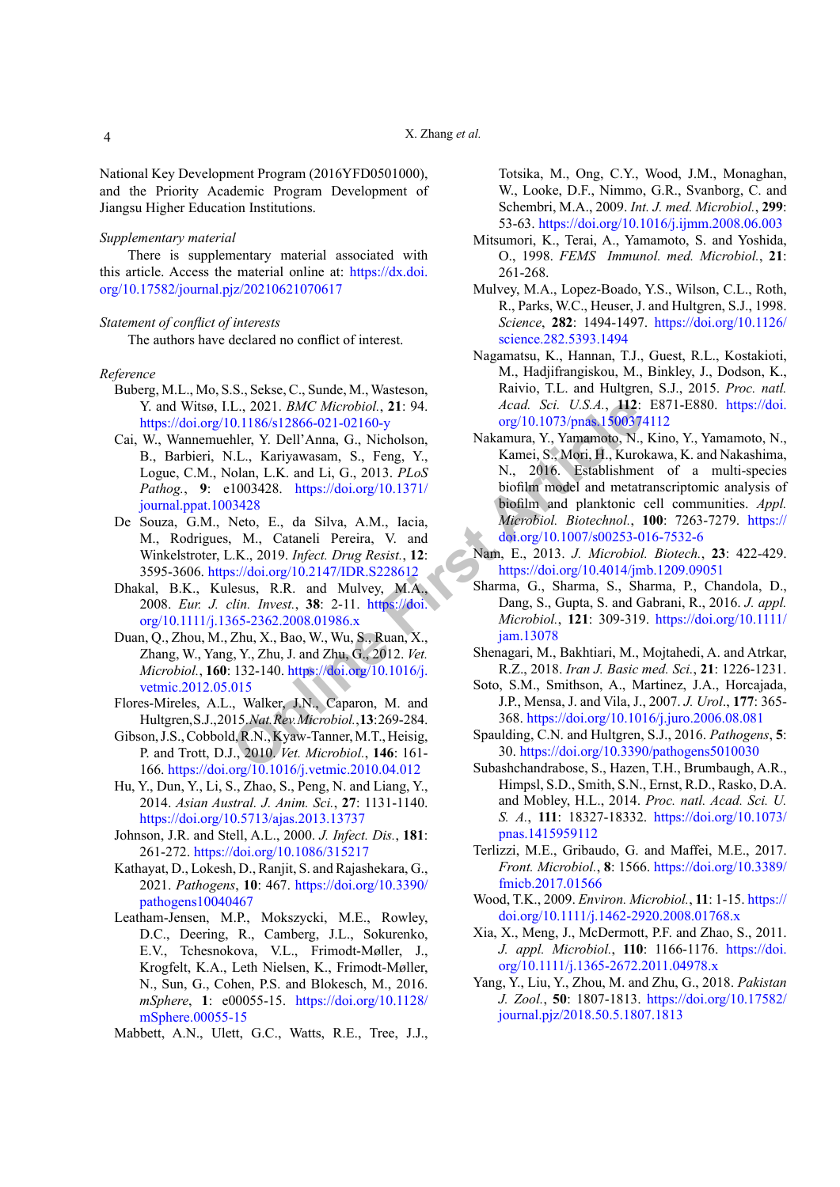National Key Development Program (2016YFD0501000), and the Priority Academic Program Development of Jiangsu Higher Education Institutions.

## *Supplementary material*

There is supplementary material associated with this article. Access the material online at: [https://dx.doi.](https://dx.doi.org/10.17582/journal.pjz/20210621070617) [org/10.17582/journal.pjz/20210621070617](https://dx.doi.org/10.17582/journal.pjz/20210621070617)

#### *Statement of conflict of interests*

The authors have declared no conflict of interest.

#### *Reference*

- Buberg, M.L., Mo, S.S., Sekse, C., Sunde, M., Wasteson, Y. and Witsø, I.L., 2021. *BMC Microbiol.*, **21**: 94. <https://doi.org/10.1186/s12866-021-02160-y>
- Cai, W., Wannemuehler, Y. Dell'Anna, G., Nicholson, B., Barbieri, N.L., Kariyawasam, S., Feng, Y., Logue, C.M., Nolan, L.K. and Li, G., 2013. *PLoS Pathog.*, **9**: e1003428. https://doi.org/10.1371/ [journal.ppat.1003428](https://doi.org/10.1371/journal.ppat.1003428)
- De Souza, G.M., Neto, E., da Silva, A.M., Iacia, M., Rodrigues, M., Cataneli Pereira, V. and Winkelstroter, L.K., 2019. *Infect. Drug Resist.*, **12**: 3595-3606. https://doi.org/10.2147/IDR.S228612
- Dhakal, B.K., Kulesus, R.R. and Mulvey, M.A., 2008. *Eur. J. clin. Invest.*, **38**: 2-11. https://doi. [org/10.1111/j.1365-2362.2008.01986.x](https://doi.org/10.1111/j.1365-2362.2008.01986.x)
- Duan, Q., Zhou, M., Zhu, X., Bao, W., Wu, S., Ruan, X., Zhang, W., Yang, Y., Zhu, J. and Zhu, G., 2012. *Vet. Microbiol.*, **160**: 132-140. https://doi.org/10.1016/j. [vetmic.2012.05.015](https://doi.org/10.1016/j.vetmic.2012.05.015)
- Flores-Mireles, A.L., Walker, J.N., Caparon, M. and Hultgren, S.J., 2015. *Nat. Rev. Microbiol.*, **13**: 269-284.
- Gibson, J.S., Cobbold, R.N., Kyaw-Tanner, M.T., Heisig, P. and Trott, D.J., 2010. *Vet. Microbiol.*, **146**: 161- 166.<https://doi.org/10.1016/j.vetmic.2010.04.012>
- Hu, Y., Dun, Y., Li, S., Zhao, S., Peng, N. and Liang, Y., 2014. *Asian Austral. J. Anim. Sci.*, **27**: 1131-1140. <https://doi.org/10.5713/ajas.2013.13737>
- Johnson, J.R. and Stell, A.L., 2000. *J. Infect. Dis.*, **181**: 261-272.<https://doi.org/10.1086/315217>
- Kathayat, D., Lokesh, D., Ranjit, S. and Rajashekara, G., 2021. *Pathogens*, **10**: 467. [https://doi.org/10.3390/](https://doi.org/10.3390/pathogens10040467) [pathogens10040467](https://doi.org/10.3390/pathogens10040467)
- Leatham-Jensen, M.P., Mokszycki, M.E., Rowley, D.C., Deering, R., Camberg, J.L., Sokurenko, E.V., Tchesnokova, V.L., Frimodt-Møller, J., Krogfelt, K.A., Leth Nielsen, K., Frimodt-Møller, N., Sun, G., Cohen, P.S. and Blokesch, M., 2016. *mSphere*, **1**: e00055-15. [https://doi.org/10.1128/](https://doi.org/10.1128/mSphere.00055-15) [mSphere.00055-15](https://doi.org/10.1128/mSphere.00055-15)

Mabbett, A.N., Ulett, G.C., Watts, R.E., Tree, J.J.,

Totsika, M., Ong, C.Y., Wood, J.M., Monaghan, W., Looke, D.F., Nimmo, G.R., Svanborg, C. and Schembri, M.A., 2009. *Int. J. med. Microbiol.*, **299**: 53-63. <https://doi.org/10.1016/j.ijmm.2008.06.003>

- Mitsumori, K., Terai, A., Yamamoto, S. and Yoshida, O., 1998. *FEMS Immunol. med. Microbiol.*, **21**: 261-268.
- Mulvey, M.A., Lopez-Boado, Y.S., Wilson, C.L., Roth, R., Parks, W.C., Heuser, J. and Hultgren, S.J., 1998. *Science*, **282**: 1494-1497. [https://doi.org/10.1126/](https://doi.org/10.1126/science.282.5393.1494) [science.282.5393.1494](https://doi.org/10.1126/science.282.5393.1494)
- Nagamatsu, K., Hannan, T.J., Guest, R.L., Kostakioti, M., Hadjifrangiskou, M., Binkley, J., Dodson, K., Raivio, T.L. and Hultgren, S.J., 2015. *Proc. natl. Acad. Sci. U.S.A.*, **112**: E871-E880. [https://doi.](https://doi.org/10.1073/pnas.1500374112) org/10.1073/pnas.1500374112
- L., 2021. *BMC Microbiol.*, **21:** 94. *Acad. Sci. U.S.A.*, **142:**<br>
0.1186/s12866-021-02160-y org/10.1073/pnas.1500374<br>
h[le](https://doi.org/10.1073/pnas.1500374112)r, Y. Dell'Anna, G., Nicholson, Nakamura, Y., Yamamoto, N., N., Then I.B., Kuri, H., Kuri)<br>
1003428. Nakamura, Y., Yamamoto, N., Kino, Y., Yamamoto, N., Kamei, S., Mori, H., Kurokawa, K. and Nakashima, N., 2016. Establishment of a multi-species biofilm model and metatranscriptomic analysis of biofilm and planktonic cell communities. *Appl. Microbiol. Biotechnol.*, **100**: 7263-7279. [https://](https://doi.org/10.1007/s00253-016-7532-6) [doi.org/10.1007/s00253-016-7532-6](https://doi.org/10.1007/s00253-016-7532-6)
	- Nam, E., 2013. *J. Microbiol. Biotech.*, **23**: 422-429. <https://doi.org/10.4014/jmb.1209.09051>
	- Sharma, G., Sharma, S., Sharma, P., Chandola, D., Dang, S., Gupta, S. and Gabrani, R., 2016. *J. appl. Microbiol.*, **121**: 309-319. [https://doi.org/10.1111/](https://doi.org/10.1111/jam.13078) jam.13078
	- Shenagari, M., Bakhtiari, M., Mojtahedi, A. and Atrkar, R.Z., 2018. *Iran J. Basic med. Sci.*, **21**: 1226-1231.
	- Soto, S.M., Smithson, A., Martinez, J.A., Horcajada, J.P., Mensa, J. and Vila, J., 2007. *J. Urol*., **177**: 365- 368.<https://doi.org/10.1016/j.juro.2006.08.081>
	- Spaulding, C.N. and Hultgren, S.J., 2016. *Pathogens*, **5**: 30. <https://doi.org/10.3390/pathogens5010030>
	- Subashchandrabose, S., Hazen, T.H., Brumbaugh, A.R., Himpsl, S.D., Smith, S.N., Ernst, R.D., Rasko, D.A. and Mobley, H.L., 2014. *Proc. natl. Acad. Sci. U. S. A.*, **111**: 18327-18332. [https://doi.org/10.1073/](https://doi.org/10.1073/pnas.1415959112) [pnas.1415959112](https://doi.org/10.1073/pnas.1415959112)
	- Terlizzi, M.E., Gribaudo, G. and Maffei, M.E., 2017. *Front. Microbiol.*, **8**: 1566. [https://doi.org/10.3389/](https://doi.org/10.3389/fmicb.2017.01566) [fmicb.2017.01566](https://doi.org/10.3389/fmicb.2017.01566)
	- Wood, T.K., 2009. *Environ. Microbiol.*, **11**: 1-15. [https://](https://doi.org/10.1111/j.1462-2920.2008.01768.x) [doi.org/10.1111/j.1462-2920.2008.01768.x](https://doi.org/10.1111/j.1462-2920.2008.01768.x)
	- Xia, X., Meng, J., McDermott, P.F. and Zhao, S., 2011. *J. appl. Microbiol.*, **110**: 1166-1176. [https://doi.](https://doi.org/10.1111/j.1365-2672.2011.04978.x) [org/10.1111/j.1365-2672.2011.04978.x](https://doi.org/10.1111/j.1365-2672.2011.04978.x)
	- Yang, Y., Liu, Y., Zhou, M. and Zhu, G., 2018. *Pakistan J. Zool.*, **50**: 1807-1813. [https://doi.org/10.17582/](https://doi.org/10.17582/journal.pjz/2018.50.5.1807.1813) [journal.pjz/2018.50.5.1807.1813](https://doi.org/10.17582/journal.pjz/2018.50.5.1807.1813)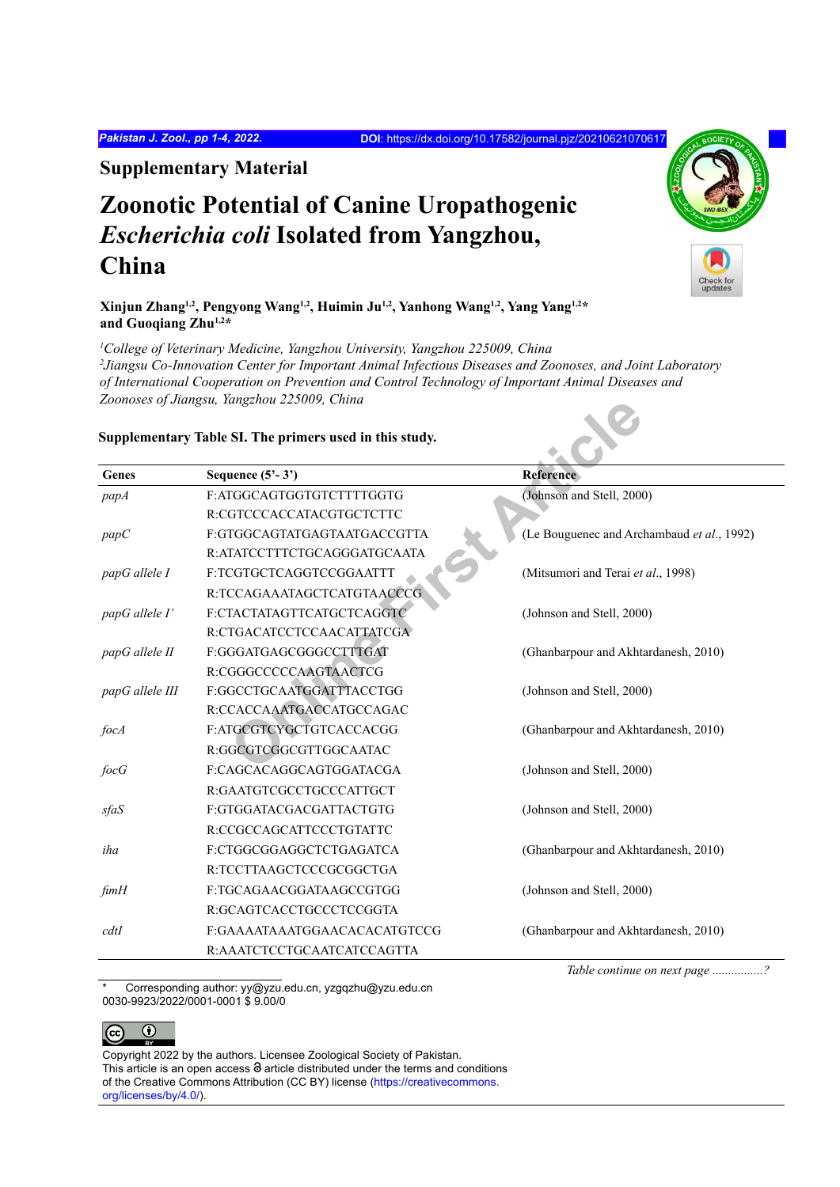*Pakistan J. Zool., pp 1-4, 2022.* **DOI**:<https://dx.doi.org/10.17582/journal.pjz/20210621070617>

**Supplementary Material**

# **Zoonotic Potential of Canine Uropathogenic**  *Escherichia coli* **Isolated from Yangzhou, China**

**Xinjun Zhang1,2, Pengyong Wang1,2, Huimin Ju1,2, Yanhong Wang1,2, Yang Yang1,2\* and Guoqiang Zhu1,2\***

<sup>1</sup>College of Veterinary Medicine, Yangzhou University, Yangzhou 225009, China *2 Jiangsu Co-Innovation Center for Important Animal Infectious Diseases and Zoonoses, and Joint Laboratory of International Cooperation on Prevention and Control Technology of Important Animal Diseases and Zoonoses of Jiangsu, Yangzhou 225009, China*

## **Supplementary Table SI. The primers used in this study.**

|                 | zoonoses of Juangsu, Tangzhou 225009, China<br>Supplementary Table SI. The primers used in this study. |                                            |
|-----------------|--------------------------------------------------------------------------------------------------------|--------------------------------------------|
| Genes           | Sequence $(5'-3')$                                                                                     | <b>Reference</b>                           |
| papA            | F:ATGGCAGTGGTGTCTTTTGGTG                                                                               | (Johnson and Stell, 2000)                  |
|                 | R:CGTCCCACCATACGTGCTCTTC                                                                               |                                            |
| papC            | F:GTGGCAGTATGAGTAATGACCGTTA                                                                            | (Le Bouguenec and Archambaud et al., 1992) |
|                 | R:ATATCCTTTCTGCAGGGATGCAATA                                                                            |                                            |
| papG allele I   | F:TCGTGCTCAGGTCCGGAATTT                                                                                | (Mitsumori and Terai et al., 1998)         |
|                 | R:TCCAGAAATAGCTCATGTAACCCG                                                                             |                                            |
| papG allele I'  | F:CTACTATAGTTCATGCTCAGGTC                                                                              | (Johnson and Stell, 2000)                  |
|                 | R:CTGACATCCTCCAACATTATCGA                                                                              |                                            |
| papG allele II  | F:GGGATGAGCGGGCCTTTGAT                                                                                 | (Ghanbarpour and Akhtardanesh, 2010)       |
|                 | R:CGGGCCCCCAAGTAACTCG                                                                                  |                                            |
| papG allele III | F:GGCCTGCAATGGATTTACCTGG                                                                               | (Johnson and Stell, 2000)                  |
|                 | R:CCACCAAATGACCATGCCAGAC                                                                               |                                            |
| focA            | F:ATGCGTCYGCTGTCACCACGG                                                                                | (Ghanbarpour and Akhtardanesh, 2010)       |
|                 | R:GGCGTCGGCGTTGGCAATAC                                                                                 |                                            |
| focG            | F:CAGCACAGGCAGTGGATACGA                                                                                | (Johnson and Stell, 2000)                  |
|                 | R:GAATGTCGCCTGCCCATTGCT                                                                                |                                            |
| sfaS            | F:GTGGATACGACGATTACTGTG                                                                                | (Johnson and Stell, 2000)                  |
|                 | R:CCGCCAGCATTCCCTGTATTC                                                                                |                                            |
| iha             | F:CTGGCGGAGGCTCTGAGATCA                                                                                | (Ghanbarpour and Akhtardanesh, 2010)       |
|                 | R:TCCTTAAGCTCCCGCGGCTGA                                                                                |                                            |
| fimH            | F:TGCAGAACGGATAAGCCGTGG                                                                                | (Johnson and Stell, 2000)                  |
|                 | R:GCAGTCACCTGCCCTCCGGTA                                                                                |                                            |
| cdtI            | F:GAAAATAAATGGAACACACATGTCCG                                                                           | (Ghanbarpour and Akhtardanesh, 2010)       |
|                 | R:AAATCTCCTGCAATCATCCAGTTA                                                                             |                                            |

Corresponding author: yy@yzu.edu.cn, yzgqzhu@yzu.edu.cn 0030-9923/2022/0001-0001 \$ 9.00/0

 *Table continue on next page ................?*



Copyright 2022 by the authors. Licensee Zoological Society of Pakistan. This article is an open access  $\Theta$  article distributed under the terms and conditions of the Creative Commons Attribution (CC BY) license (https://creativecommons. org/licenses/by/4.0/).